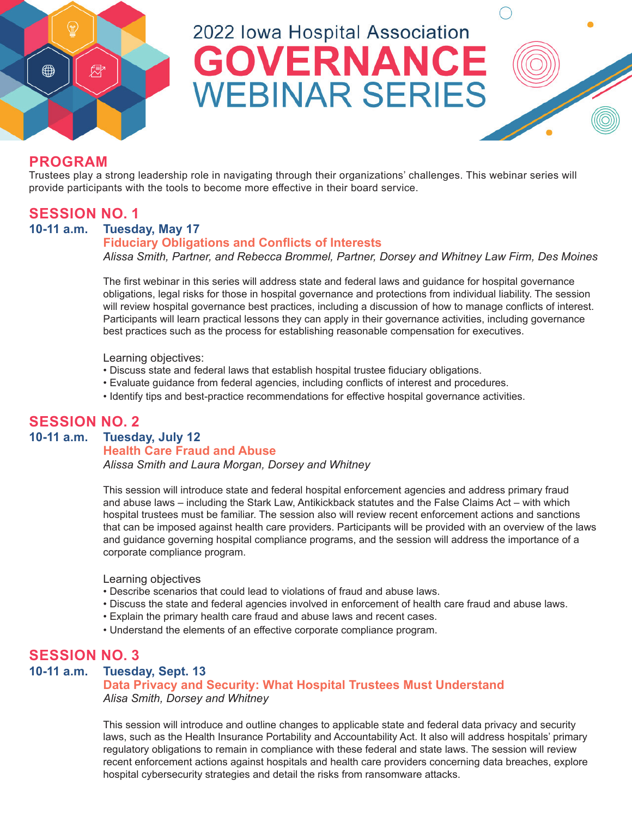

# 2022 Iowa Hospital Association **GOVERNANCE WEBINAR SERIES**

## **PROGRAM**

Trustees play a strong leadership role in navigating through their organizations' challenges. This webinar series will provide participants with the tools to become more effective in their board service.

## **SESSION NO. 1**

#### **10-11 a.m. Tuesday, May 17**

#### **Fiduciary Obligations and Conflicts of Interests**

*Alissa Smith, Partner, and Rebecca Brommel, Partner, Dorsey and Whitney Law Firm, Des Moines*

The first webinar in this series will address state and federal laws and guidance for hospital governance obligations, legal risks for those in hospital governance and protections from individual liability. The session will review hospital governance best practices, including a discussion of how to manage conflicts of interest. Participants will learn practical lessons they can apply in their governance activities, including governance best practices such as the process for establishing reasonable compensation for executives.

Learning objectives:

- Discuss state and federal laws that establish hospital trustee fiduciary obligations.
- Evaluate guidance from federal agencies, including conflicts of interest and procedures.
- Identify tips and best-practice recommendations for effective hospital governance activities.

## **SESSION NO. 2**

**Tuesday, July 12** 

#### **Health Care Fraud and Abuse**

*Alissa Smith and Laura Morgan, Dorsey and Whitney*

This session will introduce state and federal hospital enforcement agencies and address primary fraud and abuse laws – including the Stark Law, Antikickback statutes and the False Claims Act – with which hospital trustees must be familiar. The session also will review recent enforcement actions and sanctions that can be imposed against health care providers. Participants will be provided with an overview of the laws and guidance governing hospital compliance programs, and the session will address the importance of a corporate compliance program.

Learning objectives

- Describe scenarios that could lead to violations of fraud and abuse laws.
- Discuss the state and federal agencies involved in enforcement of health care fraud and abuse laws.
- Explain the primary health care fraud and abuse laws and recent cases.
- Understand the elements of an effective corporate compliance program.

## **SESSION NO. 3**

#### **10-11 a.m. Tuesday, Sept. 13**

#### **Data Privacy and Security: What Hospital Trustees Must Understand** *Alisa Smith, Dorsey and Whitney*

This session will introduce and outline changes to applicable state and federal data privacy and security laws, such as the Health Insurance Portability and Accountability Act. It also will address hospitals' primary regulatory obligations to remain in compliance with these federal and state laws. The session will review recent enforcement actions against hospitals and health care providers concerning data breaches, explore hospital cybersecurity strategies and detail the risks from ransomware attacks.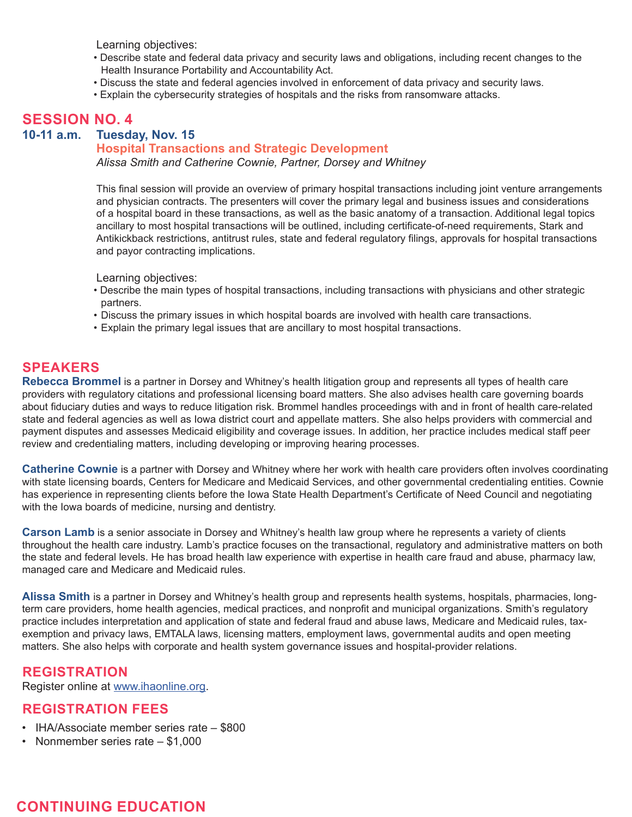Learning objectives:

- Describe state and federal data privacy and security laws and obligations, including recent changes to the Health Insurance Portability and Accountability Act.
- Discuss the state and federal agencies involved in enforcement of data privacy and security laws.
- Explain the cybersecurity strategies of hospitals and the risks from ransomware attacks.

## **SESSION NO. 4**

**10-11 a.m. Tuesday, Nov. 15**

#### **Hospital Transactions and Strategic Development**

*Alissa Smith and Catherine Cownie, Partner, Dorsey and Whitney*

This final session will provide an overview of primary hospital transactions including joint venture arrangements and physician contracts. The presenters will cover the primary legal and business issues and considerations of a hospital board in these transactions, as well as the basic anatomy of a transaction. Additional legal topics ancillary to most hospital transactions will be outlined, including certificate-of-need requirements, Stark and Antikickback restrictions, antitrust rules, state and federal regulatory filings, approvals for hospital transactions and payor contracting implications.

Learning objectives:

- Describe the main types of hospital transactions, including transactions with physicians and other strategic partners.
- Discuss the primary issues in which hospital boards are involved with health care transactions.
- Explain the primary legal issues that are ancillary to most hospital transactions.

#### **SPEAKERS**

**Rebecca Brommel** is a partner in Dorsey and Whitney's health litigation group and represents all types of health care providers with regulatory citations and professional licensing board matters. She also advises health care governing boards about fiduciary duties and ways to reduce litigation risk. Brommel handles proceedings with and in front of health care-related state and federal agencies as well as Iowa district court and appellate matters. She also helps providers with commercial and payment disputes and assesses Medicaid eligibility and coverage issues. In addition, her practice includes medical staff peer review and credentialing matters, including developing or improving hearing processes.

**Catherine Cownie** is a partner with Dorsey and Whitney where her work with health care providers often involves coordinating with state licensing boards, Centers for Medicare and Medicaid Services, and other governmental credentialing entities. Cownie has experience in representing clients before the Iowa State Health Department's Certificate of Need Council and negotiating with the Iowa boards of medicine, nursing and dentistry.

**Carson Lamb** is a senior associate in Dorsey and Whitney's health law group where he represents a variety of clients throughout the health care industry. Lamb's practice focuses on the transactional, regulatory and administrative matters on both the state and federal levels. He has broad health law experience with expertise in health care fraud and abuse, pharmacy law, managed care and Medicare and Medicaid rules.

**Alissa Smith** is a partner in Dorsey and Whitney's health group and represents health systems, hospitals, pharmacies, longterm care providers, home health agencies, medical practices, and nonprofit and municipal organizations. Smith's regulatory practice includes interpretation and application of state and federal fraud and abuse laws, Medicare and Medicaid rules, taxexemption and privacy laws, EMTALA laws, licensing matters, employment laws, governmental audits and open meeting matters. She also helps with corporate and health system governance issues and hospital-provider relations.

#### **REGISTRATION**

Register online at [www.ihaonline.org](http://www.ihaonline.org).

#### **REGISTRATION FEES**

- IHA/Associate member series rate \$800
- Nonmember series rate \$1,000

## **CONTINUING EDUCATION**